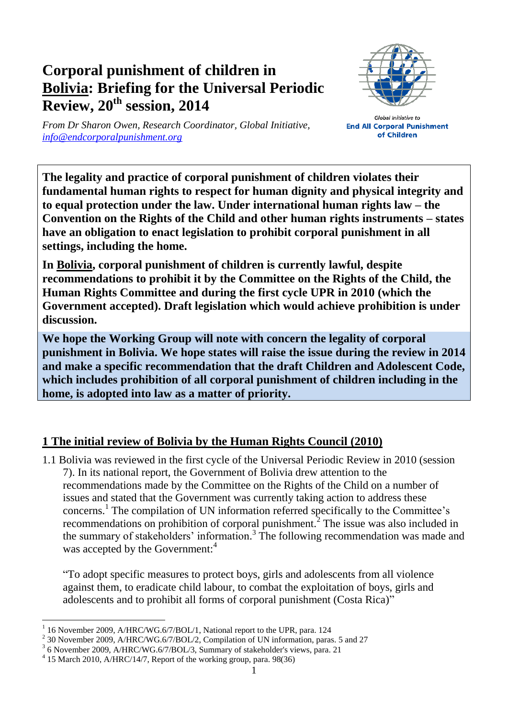## **Corporal punishment of children in Bolivia: Briefing for the Universal Periodic Review, 20th session, 2014**



*From Dr Sharon Owen, Research Coordinator, Global Initiative, [info@endcorporalpunishment.org](mailto:info@endcorporalpunishment.org)*

**Global Initiative to End All Corporal Punishment** of Children

**The legality and practice of corporal punishment of children violates their fundamental human rights to respect for human dignity and physical integrity and to equal protection under the law. Under international human rights law – the Convention on the Rights of the Child and other human rights instruments – states have an obligation to enact legislation to prohibit corporal punishment in all settings, including the home.**

**In Bolivia, corporal punishment of children is currently lawful, despite recommendations to prohibit it by the Committee on the Rights of the Child, the Human Rights Committee and during the first cycle UPR in 2010 (which the Government accepted). Draft legislation which would achieve prohibition is under discussion.**

**We hope the Working Group will note with concern the legality of corporal punishment in Bolivia. We hope states will raise the issue during the review in 2014 and make a specific recommendation that the draft Children and Adolescent Code, which includes prohibition of all corporal punishment of children including in the home, is adopted into law as a matter of priority.**

## **1 The initial review of Bolivia by the Human Rights Council (2010)**

1.1 Bolivia was reviewed in the first cycle of the Universal Periodic Review in 2010 (session 7). In its national report, the Government of Bolivia drew attention to the recommendations made by the Committee on the Rights of the Child on a number of issues and stated that the Government was currently taking action to address these concerns. 1 The compilation of UN information referred specifically to the Committee's recommendations on prohibition of corporal punishment.<sup>2</sup> The issue was also included in the summary of stakeholders' information. 3 The following recommendation was made and was accepted by the Government:<sup>4</sup>

"To adopt specific measures to protect boys, girls and adolescents from all violence against them, to eradicate child labour, to combat the exploitation of boys, girls and adolescents and to prohibit all forms of corporal punishment (Costa Rica)"

 $\overline{a}$ 1 16 November 2009, A/HRC/WG.6/7/BOL/1, National report to the UPR, para. 124

<sup>&</sup>lt;sup>2</sup> 30 November 2009, A/HRC/WG.6/7/BOL/2, Compilation of UN information, paras. 5 and 27

<sup>&</sup>lt;sup>3</sup> 6 November 2009, A/HRC/WG.6/7/BOL/3, Summary of stakeholder's views, para. 21

<sup>4</sup> 15 March 2010, A/HRC/14/7, Report of the working group, para. 98(36)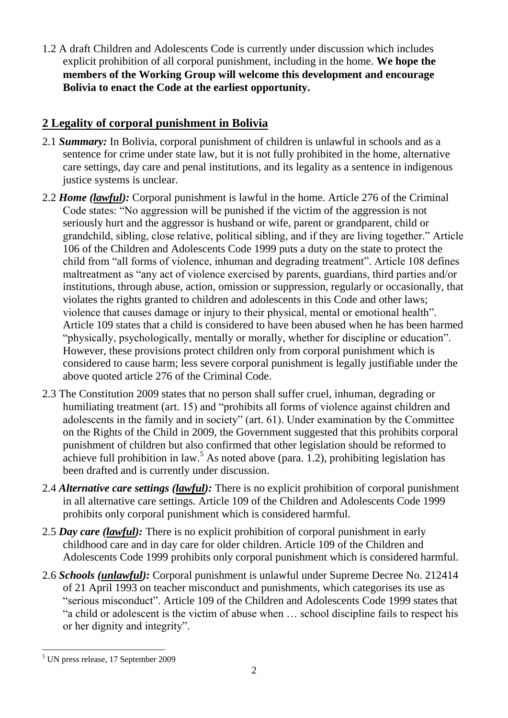1.2 A draft Children and Adolescents Code is currently under discussion which includes explicit prohibition of all corporal punishment, including in the home. **We hope the members of the Working Group will welcome this development and encourage Bolivia to enact the Code at the earliest opportunity.**

## **2 Legality of corporal punishment in Bolivia**

- 2.1 *Summary:* In Bolivia, corporal punishment of children is unlawful in schools and as a sentence for crime under state law, but it is not fully prohibited in the home, alternative care settings, day care and penal institutions, and its legality as a sentence in indigenous justice systems is unclear.
- 2.2 *Home (lawful):* Corporal punishment is lawful in the home. Article 276 of the Criminal Code states: "No aggression will be punished if the victim of the aggression is not seriously hurt and the aggressor is husband or wife, parent or grandparent, child or grandchild, sibling, close relative, political sibling, and if they are living together." Article 106 of the Children and Adolescents Code 1999 puts a duty on the state to protect the child from "all forms of violence, inhuman and degrading treatment". Article 108 defines maltreatment as "any act of violence exercised by parents, guardians, third parties and/or institutions, through abuse, action, omission or suppression, regularly or occasionally, that violates the rights granted to children and adolescents in this Code and other laws; violence that causes damage or injury to their physical, mental or emotional health". Article 109 states that a child is considered to have been abused when he has been harmed "physically, psychologically, mentally or morally, whether for discipline or education". However, these provisions protect children only from corporal punishment which is considered to cause harm; less severe corporal punishment is legally justifiable under the above quoted article 276 of the Criminal Code.
- 2.3 The Constitution 2009 states that no person shall suffer cruel, inhuman, degrading or humiliating treatment (art. 15) and "prohibits all forms of violence against children and adolescents in the family and in society" (art. 61). Under examination by the Committee on the Rights of the Child in 2009, the Government suggested that this prohibits corporal punishment of children but also confirmed that other legislation should be reformed to achieve full prohibition in law.<sup>5</sup> As noted above (para. 1.2), prohibiting legislation has been drafted and is currently under discussion.
- 2.4 *Alternative care settings (lawful):* There is no explicit prohibition of corporal punishment in all alternative care settings. Article 109 of the Children and Adolescents Code 1999 prohibits only corporal punishment which is considered harmful.
- 2.5 *Day care (lawful):* There is no explicit prohibition of corporal punishment in early childhood care and in day care for older children. Article 109 of the Children and Adolescents Code 1999 prohibits only corporal punishment which is considered harmful.
- 2.6 *Schools (unlawful):* Corporal punishment is unlawful under Supreme Decree No. 212414 of 21 April 1993 on teacher misconduct and punishments, which categorises its use as "serious misconduct". Article 109 of the Children and Adolescents Code 1999 states that "a child or adolescent is the victim of abuse when … school discipline fails to respect his or her dignity and integrity".

 $\overline{a}$ <sup>5</sup> UN press release, 17 September 2009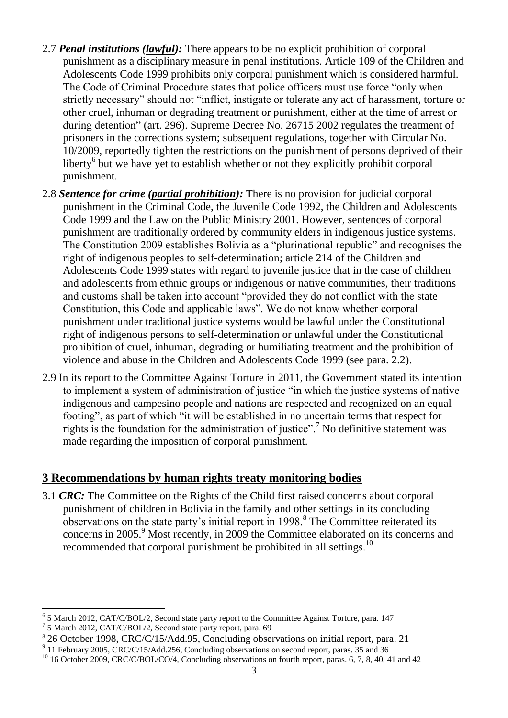- 2.7 *Penal institutions (lawful):* There appears to be no explicit prohibition of corporal punishment as a disciplinary measure in penal institutions. Article 109 of the Children and Adolescents Code 1999 prohibits only corporal punishment which is considered harmful. The Code of Criminal Procedure states that police officers must use force "only when strictly necessary" should not "inflict, instigate or tolerate any act of harassment, torture or other cruel, inhuman or degrading treatment or punishment, either at the time of arrest or during detention" (art. 296). Supreme Decree No. 26715 2002 regulates the treatment of prisoners in the corrections system; subsequent regulations, together with Circular No. 10/2009, reportedly tighten the restrictions on the punishment of persons deprived of their liberty<sup>6</sup> but we have yet to establish whether or not they explicitly prohibit corporal punishment.
- 2.8 *Sentence for crime (partial prohibition):* There is no provision for judicial corporal punishment in the Criminal Code, the Juvenile Code 1992, the Children and Adolescents Code 1999 and the Law on the Public Ministry 2001. However, sentences of corporal punishment are traditionally ordered by community elders in indigenous justice systems. The Constitution 2009 establishes Bolivia as a "plurinational republic" and recognises the right of indigenous peoples to self-determination; article 214 of the Children and Adolescents Code 1999 states with regard to juvenile justice that in the case of children and adolescents from ethnic groups or indigenous or native communities, their traditions and customs shall be taken into account "provided they do not conflict with the state Constitution, this Code and applicable laws". We do not know whether corporal punishment under traditional justice systems would be lawful under the Constitutional right of indigenous persons to self-determination or unlawful under the Constitutional prohibition of cruel, inhuman, degrading or humiliating treatment and the prohibition of violence and abuse in the Children and Adolescents Code 1999 (see para. 2.2).
- 2.9 In its report to the Committee Against Torture in 2011, the Government stated its intention to implement a system of administration of justice "in which the justice systems of native indigenous and campesino people and nations are respected and recognized on an equal footing", as part of which "it will be established in no uncertain terms that respect for rights is the foundation for the administration of justice".<sup>7</sup> No definitive statement was made regarding the imposition of corporal punishment.

## **3 Recommendations by human rights treaty monitoring bodies**

3.1 *CRC:* The Committee on the Rights of the Child first raised concerns about corporal punishment of children in Bolivia in the family and other settings in its concluding observations on the state party's initial report in  $1998$ .<sup>8</sup> The Committee reiterated its concerns in 2005.<sup>9</sup> Most recently, in 2009 the Committee elaborated on its concerns and recommended that corporal punishment be prohibited in all settings.<sup>10</sup>

 6 5 March 2012, CAT/C/BOL/2, Second state party report to the Committee Against Torture, para. 147

<sup>7</sup> 5 March 2012, CAT/C/BOL/2, Second state party report, para. 69

<sup>8</sup> 26 October 1998, CRC/C/15/Add.95, Concluding observations on initial report, para. 21

<sup>&</sup>lt;sup>9</sup> 11 February 2005, CRC/C/15/Add.256, Concluding observations on second report, paras. 35 and 36

<sup>&</sup>lt;sup>10</sup> 16 October 2009, CRC/C/BOL/CO/4, Concluding observations on fourth report, paras. 6, 7, 8, 40, 41 and 42